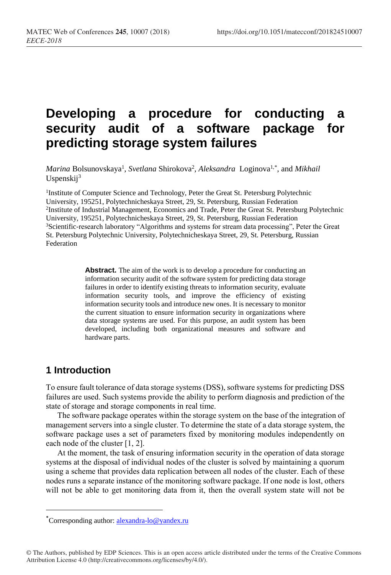# **Developing a procedure for conducting a security audit of a software package for predicting storage system failures**

 $\emph{Marina}$  Bolsunovskaya<sup>1</sup>, *Svetlana* Shirokova<sup>2</sup>, *Aleksandra* Loginova<sup>1,\*</sup>, and *Mikhail* Uspenskij<sup>3</sup>

<sup>1</sup>Institute of Computer Science and Technology, Peter the Great St. Petersburg Polytechnic University, 195251, Polytechnicheskaya Street, 29, St. Petersburg, Russian Federation 2 Institute of Industrial Management, Economics and Trade, Peter the Great St. Petersburg Polytechnic University, 195251, Polytechnicheskaya Street, 29, St. Petersburg, Russian Federation <sup>3</sup>Scientific-research laboratory "Algorithms and systems for stream data processing", Peter the Great St. Petersburg Polytechnic University, Polytechnicheskaya Street, 29, St. Petersburg, Russian Federation

> **Abstract.** The aim of the work is to develop a procedure for conducting an information security audit of the software system for predicting data storage failures in order to identify existing threats to information security, evaluate information security tools, and improve the efficiency of existing information security tools and introduce new ones. It is necessary to monitor the current situation to ensure information security in organizations where data storage systems are used. For this purpose, an audit system has been developed, including both organizational measures and software and hardware parts.

### **1 Introduction**

 $\overline{a}$ 

To ensure fault tolerance of data storage systems (DSS), software systems for predicting DSS failures are used. Such systems provide the ability to perform diagnosis and prediction of the state of storage and storage components in real time.

The software package operates within the storage system on the base of the integration of management servers into a single cluster. To determine the state of a data storage system, the software package uses a set of parameters fixed by monitoring modules independently on each node of the cluster [1, 2].

At the moment, the task of ensuring information security in the operation of data storage systems at the disposal of individual nodes of the cluster is solved by maintaining a quorum using a scheme that provides data replication between all nodes of the cluster. Each of these nodes runs a separate instance of the monitoring software package. If one node is lost, others will not be able to get monitoring data from it, then the overall system state will not be

<sup>\*</sup>Corresponding author: alexandra-lo@yandex.ru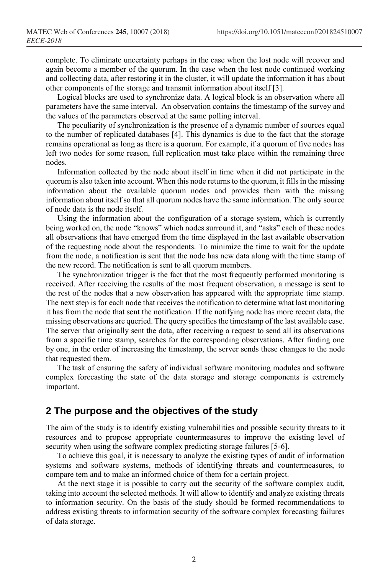complete. To eliminate uncertainty perhaps in the case when the lost node will recover and again become a member of the quorum. In the case when the lost node continued working and collecting data, after restoring it in the cluster, it will update the information it has about other components of the storage and transmit information about itself [3].

Logical blocks are used to synchronize data. A logical block is an observation where all parameters have the same interval. An observation contains the timestamp of the survey and the values of the parameters observed at the same polling interval.

The peculiarity of synchronization is the presence of a dynamic number of sources equal to the number of replicated databases [4]. This dynamics is due to the fact that the storage remains operational as long as there is a quorum. For example, if a quorum of five nodes has left two nodes for some reason, full replication must take place within the remaining three nodes.

Information collected by the node about itself in time when it did not participate in the quorum is also taken into account. When this node returns to the quorum, it fills in the missing information about the available quorum nodes and provides them with the missing information about itself so that all quorum nodes have the same information. The only source of node data is the node itself.

Using the information about the configuration of a storage system, which is currently being worked on, the node "knows" which nodes surround it, and "asks" each of these nodes all observations that have emerged from the time displayed in the last available observation of the requesting node about the respondents. To minimize the time to wait for the update from the node, a notification is sent that the node has new data along with the time stamp of the new record. The notification is sent to all quorum members.

The synchronization trigger is the fact that the most frequently performed monitoring is received. After receiving the results of the most frequent observation, a message is sent to the rest of the nodes that a new observation has appeared with the appropriate time stamp. The next step is for each node that receives the notification to determine what last monitoring it has from the node that sent the notification. If the notifying node has more recent data, the missing observations are queried. The query specifies the timestamp of the last available case. The server that originally sent the data, after receiving a request to send all its observations from a specific time stamp, searches for the corresponding observations. After finding one by one, in the order of increasing the timestamp, the server sends these changes to the node that requested them.

The task of ensuring the safety of individual software monitoring modules and software complex forecasting the state of the data storage and storage components is extremely important.

### **2 The purpose and the objectives of the study**

The aim of the study is to identify existing vulnerabilities and possible security threats to it resources and to propose appropriate countermeasures to improve the existing level of security when using the software complex predicting storage failures [5-6].

To achieve this goal, it is necessary to analyze the existing types of audit of information systems and software systems, methods of identifying threats and countermeasures, to compare tem and to make an informed choice of them for a certain project.

At the next stage it is possible to carry out the security of the software complex audit, taking into account the selected methods. It will allow to identify and analyze existing threats to information security. On the basis of the study should be formed recommendations to address existing threats to information security of the software complex forecasting failures of data storage.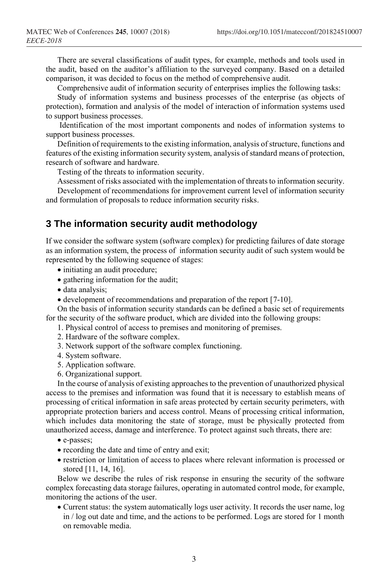There are several classifications of audit types, for example, methods and tools used in the audit, based on the auditor's affiliation to the surveyed company. Based on a detailed comparison, it was decided to focus on the method of comprehensive audit.

Comprehensive audit of information security of enterprises implies the following tasks:

Study of information systems and business processes of the enterprise (as objects of protection), formation and analysis of the model of interaction of information systems used to support business processes.

Identification of the most important components and nodes of information systems to support business processes.

Definition of requirements to the existing information, analysis of structure, functions and features of the existing information security system, analysis of standard means of protection, research of software and hardware.

Testing of the threats to information security.

Assessment of risks associated with the implementation of threats to information security.

Development of recommendations for improvement current level of information security and formulation of proposals to reduce information security risks.

### **3 The information security audit methodology**

If we consider the software system (software complex) for predicting failures of date storage as an information system, the process of information security audit of such system would be represented by the following sequence of stages:

- initiating an audit procedure;
- gathering information for the audit;
- data analysis;
- development of recommendations and preparation of the report [7-10].

On the basis of information security standards can be defined a basic set of requirements for the security of the software product, which are divided into the following groups:

- 1. Physical control of access to premises and monitoring of premises.
- 2. Hardware of the software complex.
- 3. Network support of the software complex functioning.
- 4. System software.
- 5. Application software.
- 6. Organizational support.

In the course of analysis of existing approaches to the prevention of unauthorized physical access to the premises and information was found that it is necessary to establish means of processing of critical information in safe areas protected by certain security perimeters, with appropriate protection bariers and access control. Means of processing critical information, which includes data monitoring the state of storage, must be physically protected from unauthorized access, damage and interference. To protect against such threats, there are:

- e-passes;
- recording the date and time of entry and exit;
- restriction or limitation of access to places where relevant information is processed or stored [11, 14, 16].

Below we describe the rules of risk response in ensuring the security of the software complex forecasting data storage failures, operating in automated control mode, for example, monitoring the actions of the user.

 Current status: the system automatically logs user activity. It records the user name, log in / log out date and time, and the actions to be performed. Logs are stored for 1 month on removable media.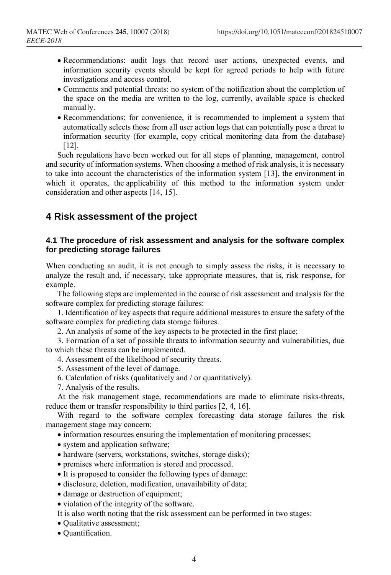- Recommendations: audit logs that record user actions, unexpected events, and information security events should be kept for agreed periods to help with future investigations and access control.
- Comments and potential threats: no system of the notification about the completion of the space on the media are written to the log, currently, available space is checked manually.
- Recommendations: for convenience, it is recommended to implement a system that automatically selects those from all user action logs that can potentially pose a threat to information security (for example, copy critical monitoring data from the database) [12].

Such regulations have been worked out for all steps of planning, management, control and security of information systems. When choosing a method of risk analysis, it is necessary to take into account the characteristics of the information system [13], the environment in which it operates, the applicability of this method to the information system under consideration and other aspects [14, 15].

## **4 Risk assessment of the project**

### **4.1 The procedure of risk assessment and analysis for the software complex for predicting storage failures**

When conducting an audit, it is not enough to simply assess the risks, it is necessary to analyze the result and, if necessary, take appropriate measures, that is, risk response, for example.

The following steps are implemented in the course of risk assessment and analysis for the software complex for predicting storage failures:

1. Identification of key aspects that require additional measures to ensure the safety of the software complex for predicting data storage failures.

2. An analysis of some of the key aspects to be protected in the first place;

3. Formation of a set of possible threats to information security and vulnerabilities, due to which these threats can be implemented.

4. Assessment of the likelihood of security threats.

- 5. Assessment of the level of damage.
- 6. Calculation of risks (qualitatively and / or quantitatively).
- 7. Analysis of the results.

At the risk management stage, recommendations are made to eliminate risks-threats, reduce them or transfer responsibility to third parties [2, 4, 16].

With regard to the software complex forecasting data storage failures the risk management stage may concern:

- information resources ensuring the implementation of monitoring processes;
- system and application software;
- hardware (servers, workstations, switches, storage disks);
- premises where information is stored and processed.
- It is proposed to consider the following types of damage:
- disclosure, deletion, modification, unavailability of data;
- damage or destruction of equipment;
- violation of the integrity of the software.
- It is also worth noting that the risk assessment can be performed in two stages:
- Qualitative assessment;
- Quantification.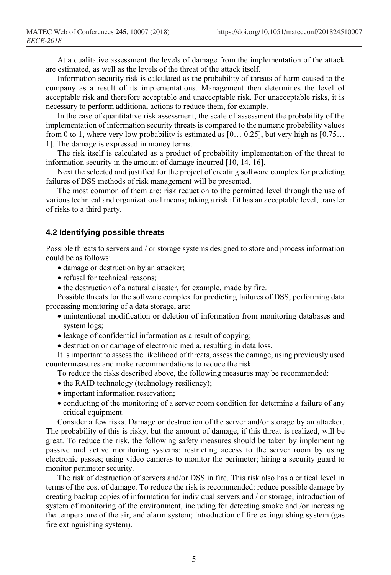At a qualitative assessment the levels of damage from the implementation of the attack are estimated, as well as the levels of the threat of the attack itself.

Information security risk is calculated as the probability of threats of harm caused to the company as a result of its implementations. Management then determines the level of acceptable risk and therefore acceptable and unacceptable risk. For unacceptable risks, it is necessary to perform additional actions to reduce them, for example.

In the case of quantitative risk assessment, the scale of assessment the probability of the implementation of information security threats is compared to the numeric probability values from 0 to 1, where very low probability is estimated as [0… 0.25], but very high as [0.75… 1]. The damage is expressed in money terms.

The risk itself is calculated as a product of probability implementation of the threat to information security in the amount of damage incurred [10, 14, 16].

Next the selected and justified for the project of creating software complex for predicting failures of DSS methods of risk management will be presented.

The most common of them are: risk reduction to the permitted level through the use of various technical and organizational means; taking a risk if it has an acceptable level; transfer of risks to a third party.

#### **4.2 Identifying possible threats**

Possible threats to servers and / or storage systems designed to store and process information could be as follows:

- damage or destruction by an attacker;
- refusal for technical reasons:
- $\bullet$  the destruction of a natural disaster, for example, made by fire.

Possible threats for the software complex for predicting failures of DSS, performing data processing monitoring of a data storage, are:

- unintentional modification or deletion of information from monitoring databases and system logs;
- leakage of confidential information as a result of copying;
- destruction or damage of electronic media, resulting in data loss.

It is important to assess the likelihood of threats, assess the damage, using previously used countermeasures and make recommendations to reduce the risk.

- To reduce the risks described above, the following measures may be recommended:
- the RAID technology (technology resiliency);
- important information reservation;
- conducting of the monitoring of a server room condition for determine a failure of any critical equipment.

Consider a few risks. Damage or destruction of the server and/or storage by an attacker. The probability of this is risky, but the amount of damage, if this threat is realized, will be great. To reduce the risk, the following safety measures should be taken by implementing passive and active monitoring systems: restricting access to the server room by using electronic passes; using video cameras to monitor the perimeter; hiring a security guard to monitor perimeter security.

The risk of destruction of servers and/or DSS in fire. This risk also has a critical level in terms of the cost of damage. To reduce the risk is recommended: reduce possible damage by creating backup copies of information for individual servers and / or storage; introduction of system of monitoring of the environment, including for detecting smoke and /or increasing the temperature of the air, and alarm system; introduction of fire extinguishing system (gas fire extinguishing system).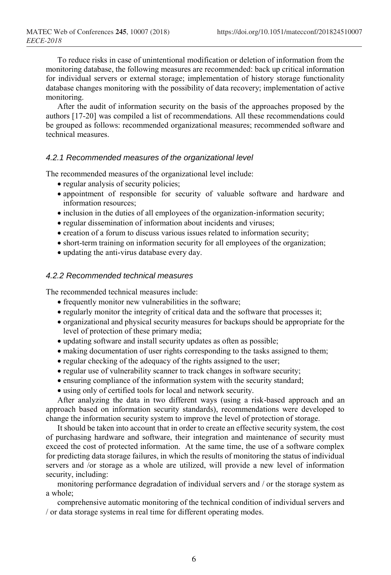To reduce risks in case of unintentional modification or deletion of information from the monitoring database, the following measures are recommended: back up critical information for individual servers or external storage; implementation of history storage functionality database changes monitoring with the possibility of data recovery; implementation of active monitoring.

After the audit of information security on the basis of the approaches proposed by the authors [17-20] was compiled a list of recommendations. All these recommendations could be grouped as follows: recommended organizational measures; recommended software and technical measures.

### *4.2.1 Recommended measures of the organizational level*

The recommended measures of the organizational level include:

- regular analysis of security policies;
- appointment of responsible for security of valuable software and hardware and information resources;
- inclusion in the duties of all employees of the organization-information security;
- regular dissemination of information about incidents and viruses;
- creation of a forum to discuss various issues related to information security;
- short-term training on information security for all employees of the organization;
- updating the anti-virus database every day.

#### *4.2.2 Recommended technical measures*

The recommended technical measures include:

- frequently monitor new vulnerabilities in the software;
- regularly monitor the integrity of critical data and the software that processes it;
- organizational and physical security measures for backups should be appropriate for the level of protection of these primary media;
- updating software and install security updates as often as possible;
- making documentation of user rights corresponding to the tasks assigned to them;
- regular checking of the adequacy of the rights assigned to the user;
- regular use of vulnerability scanner to track changes in software security;
- ensuring compliance of the information system with the security standard;
- using only of certified tools for local and network security.

After analyzing the data in two different ways (using a risk-based approach and an approach based on information security standards), recommendations were developed to change the information security system to improve the level of protection of storage.

It should be taken into account that in order to create an effective security system, the cost of purchasing hardware and software, their integration and maintenance of security must exceed the cost of protected information. At the same time, the use of a software complex for predicting data storage failures, in which the results of monitoring the status of individual servers and /or storage as a whole are utilized, will provide a new level of information security, including:

monitoring performance degradation of individual servers and / or the storage system as a whole;

comprehensive automatic monitoring of the technical condition of individual servers and / or data storage systems in real time for different operating modes.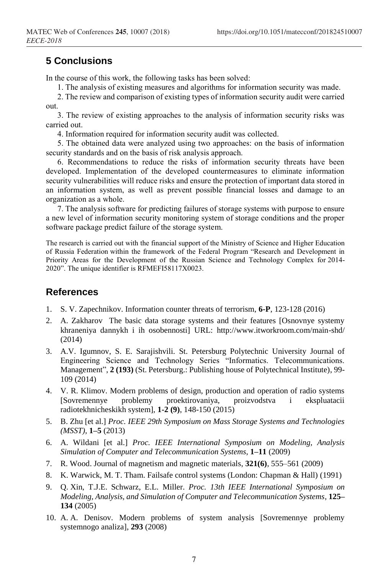# **5 Conclusions**

In the course of this work, the following tasks has been solved:

1. The analysis of existing measures and algorithms for information security was made.

2. The review and comparison of existing types of information security audit were carried out.

3. The review of existing approaches to the analysis of information security risks was carried out.

4. Information required for information security audit was collected.

5. The obtained data were analyzed using two approaches: on the basis of information security standards and on the basis of risk analysis approach.

6. Recommendations to reduce the risks of information security threats have been developed. Implementation of the developed countermeasures to eliminate information security vulnerabilities will reduce risks and ensure the protection of important data stored in an information system, as well as prevent possible financial losses and damage to an organization as a whole.

7. The analysis software for predicting failures of storage systems with purpose to ensure a new level of information security monitoring system of storage conditions and the proper software package predict failure of the storage system.

The research is carried out with the financial support of the Ministry of Science and Higher Education of Russia Federation within the framework of the Federal Program "Research and Development in Priority Areas for the Development of the Russian Science and Technology Complex for 2014- 2020". The unique identifier is RFMEFI58117X0023.

### **References**

- 1. S. V. Zapechnikov. Information counter threats of terrorism, **6-P**, 123-128 (2016)
- 2. A. Zakharov The basic data storage systems and their features [Osnovnye systemy khraneniya dannykh i ih osobennosti] URL: http://www.itworkroom.com/main-shd/ (2014)
- 3. A.V. Igumnov, S. E. Sarajishvili. St. Petersburg Polytechnic University Journal of Engineering Science and Technology Series "Informatics. Telecommunications. Management", **2 (193)** (St. Petersburg.: Publishing house of Polytechnical Institute), 99- 109 (2014)
- 4. V. R. Klimov. Modern problems of design, production and operation of radio systems [Sovremennye problemy proektirovaniya, proizvodstva i ekspluatacii radiotekhnicheskikh system], **1-2 (9)**, 148-150 (2015)
- 5. B. Zhu [et al.] *Proc. IEEE 29th Symposium on Mass Storage Systems and Technologies (MSST)*, **1–5** (2013)
- 6. A. Wildani [et al.] *Proc. IEEE International Symposium on Modeling, Analysis Simulation of Computer and Telecommunication Systems*, **1–11** (2009)
- 7. R. Wood. Journal of magnetism and magnetic materials, **321(6)**, 555–561 (2009)
- 8. K. Warwick, M. T. Tham. Failsafe control systems (London: Chapman & Hall) (1991)
- 9. Q. Xin, T.J.E. Schwarz, E.L. Miller. *Proc. 13th IEEE International Symposium on Modeling, Analysis, and Simulation of Computer and Telecommunication Systems*, **125– 134** (2005)
- 10. A. A. Denisov. Modern problems of system analysis [Sovremennye problemy systemnogo analiza], **293** (2008)